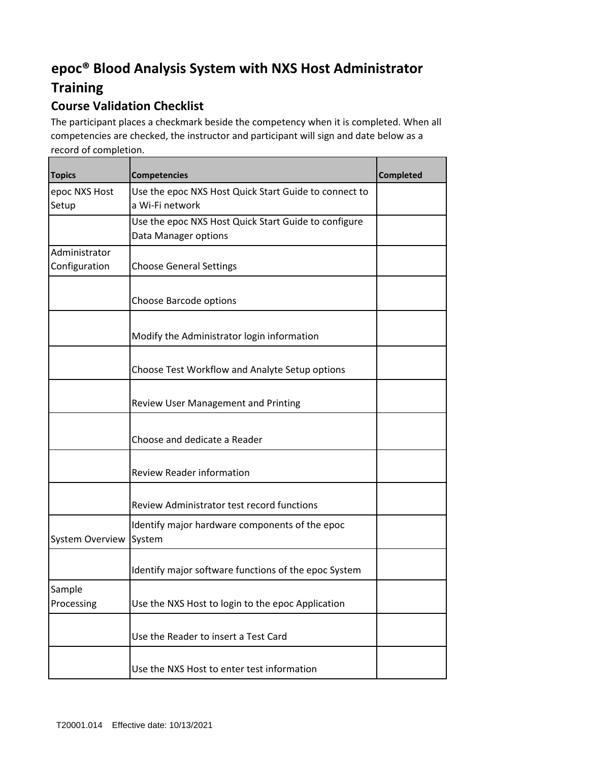## **epoc® Blood Analysis System with NXS Host Administrator**

## **Training**

## **Course Validation Checklist**

The participant places a checkmark beside the competency when it is completed. When all competencies are checked, the instructor and participant will sign and date below as a record of completion.

| <b>Topics</b>                  | <b>Competencies</b>                                                          | <b>Completed</b> |
|--------------------------------|------------------------------------------------------------------------------|------------------|
| epoc NXS Host<br>Setup         | Use the epoc NXS Host Quick Start Guide to connect to<br>a Wi-Fi network     |                  |
|                                | Use the epoc NXS Host Quick Start Guide to configure<br>Data Manager options |                  |
| Administrator<br>Configuration | <b>Choose General Settings</b>                                               |                  |
|                                | Choose Barcode options                                                       |                  |
|                                | Modify the Administrator login information                                   |                  |
|                                | Choose Test Workflow and Analyte Setup options                               |                  |
|                                | Review User Management and Printing                                          |                  |
|                                | Choose and dedicate a Reader                                                 |                  |
|                                | <b>Review Reader information</b>                                             |                  |
|                                | Review Administrator test record functions                                   |                  |
| <b>System Overview</b>         | Identify major hardware components of the epoc<br>System                     |                  |
|                                | Identify major software functions of the epoc System                         |                  |
| Sample<br>Processing           | Use the NXS Host to login to the epoc Application                            |                  |
|                                | Use the Reader to insert a Test Card                                         |                  |
|                                | Use the NXS Host to enter test information                                   |                  |